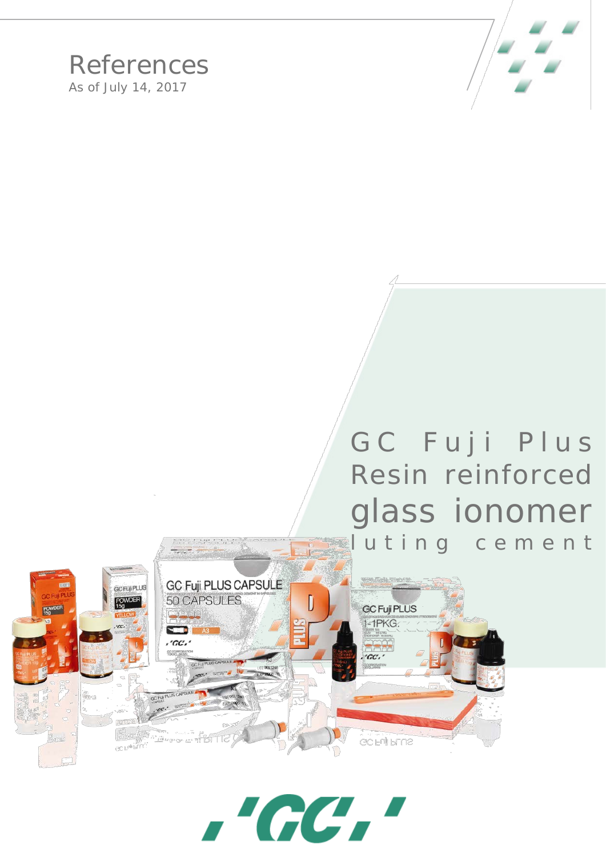

## References As of July 14, 2017

## GC Fuji Plus Resin reinforced glass ionomer luting cement



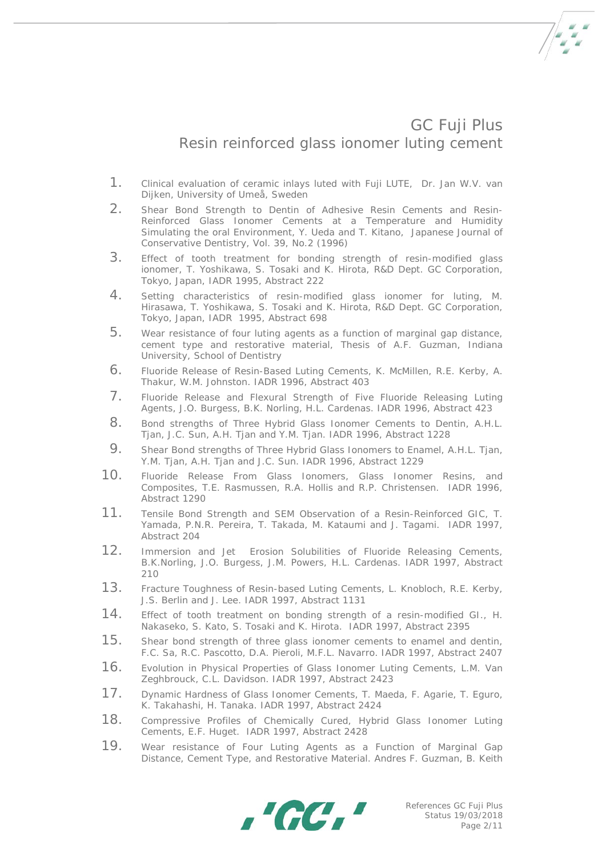

## GC Fuji Plus Resin reinforced glass ionomer luting cement

- 1. Clinical evaluation of ceramic inlays luted with Fuji LUTE, Dr. Jan W.V. van Dijken, University of Umeå, Sweden
- 2. Shear Bond Strength to Dentin of Adhesive Resin Cements and Resin-Reinforced Glass Ionomer Cements at a Temperature and Humidity Simulating the oral Environment, Y. Ueda and T. Kitano, Japanese Journal of Conservative Dentistry, Vol. 39, No.2 (1996)
- 3. Effect of tooth treatment for bonding strength of resin-modified glass ionomer, T. Yoshikawa, S. Tosaki and K. Hirota, R&D Dept. GC Corporation, Tokyo, Japan, IADR 1995, Abstract 222
- 4. Setting characteristics of resin-modified glass ionomer for luting, M. Hirasawa, T. Yoshikawa, S. Tosaki and K. Hirota, R&D Dept. GC Corporation, Tokyo, Japan, IADR 1995, Abstract 698
- 5. Wear resistance of four luting agents as a function of marginal gap distance, cement type and restorative material, Thesis of A.F. Guzman, Indiana University, School of Dentistry
- 6. Fluoride Release of Resin-Based Luting Cements, K. McMillen, R.E. Kerby, A. Thakur, W.M. Johnston. IADR 1996, Abstract 403
- 7. Fluoride Release and Flexural Strength of Five Fluoride Releasing Luting Agents, J.O. Burgess, B.K. Norling, H.L. Cardenas. IADR 1996, Abstract 423
- 8. Bond strengths of Three Hybrid Glass Ionomer Cements to Dentin, A.H.L. Tjan, J.C. Sun, A.H. Tjan and Y.M. Tjan. IADR 1996, Abstract 1228
- 9. Shear Bond strengths of Three Hybrid Glass Ionomers to Enamel, A.H.L. Tjan, Y.M. Tjan, A.H. Tjan and J.C. Sun. IADR 1996, Abstract 1229
- 10. Fluoride Release From Glass Ionomers, Glass Ionomer Resins, and Composites, T.E. Rasmussen, R.A. Hollis and R.P. Christensen. IADR 1996, Abstract 1290
- 11. Tensile Bond Strength and SEM Observation of a Resin-Reinforced GIC, T. Yamada, P.N.R. Pereira, T. Takada, M. Kataumi and J. Tagami. IADR 1997, Abstract 204
- 12. Immersion and Jet Erosion Solubilities of Fluoride Releasing Cements, B.K.Norling, J.O. Burgess, J.M. Powers, H.L. Cardenas. IADR 1997, Abstract 210
- 13. Fracture Toughness of Resin-based Luting Cements, L. Knobloch, R.E. Kerby, J.S. Berlin and J. Lee. IADR 1997, Abstract 1131
- 14. Effect of tooth treatment on bonding strength of a resin-modified GI., H. Nakaseko, S. Kato, S. Tosaki and K. Hirota. IADR 1997, Abstract 2395
- 15. Shear bond strength of three glass ionomer cements to enamel and dentin, F.C. Sa, R.C. Pascotto, D.A. Pieroli, M.F.L. Navarro. IADR 1997, Abstract 2407
- 16. Evolution in Physical Properties of Glass Ionomer Luting Cements, L.M. Van Zeghbrouck, C.L. Davidson. IADR 1997, Abstract 2423
- 17. Dynamic Hardness of Glass Ionomer Cements, T. Maeda, F. Agarie, T. Eguro, K. Takahashi, H. Tanaka. IADR 1997, Abstract 2424
- 18. Compressive Profiles of Chemically Cured, Hybrid Glass Ionomer Luting Cements, E.F. Huget. IADR 1997, Abstract 2428
- 19. Wear resistance of Four Luting Agents as a Function of Marginal Gap Distance, Cement Type, and Restorative Material. Andres F. Guzman, B. Keith

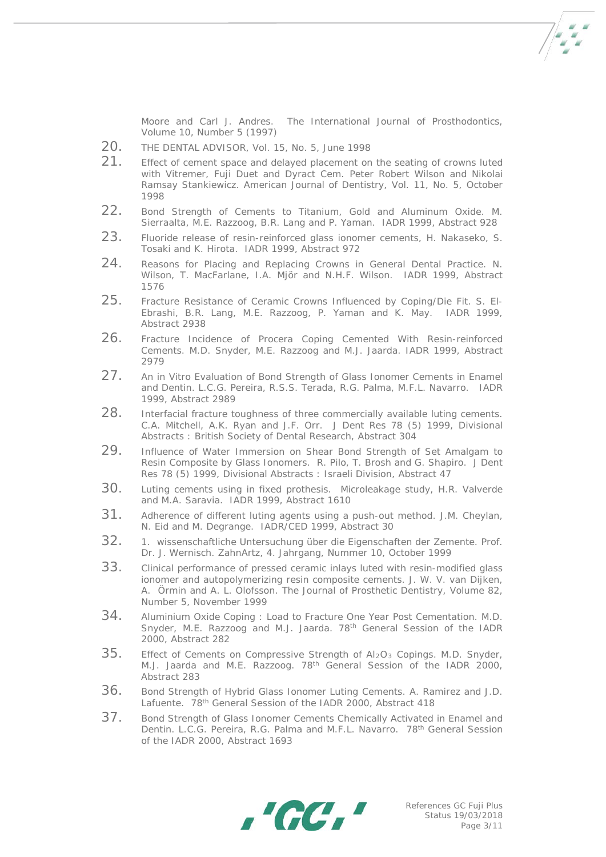Moore and Carl J. Andres. The International Journal of Prosthodontics, Volume 10, Number 5 (1997)

- 20. THE DENTAL ADVISOR, Vol. 15, No. 5, June 1998
- 21. Effect of cement space and delayed placement on the seating of crowns luted with Vitremer, Fuji Duet and Dyract Cem. Peter Robert Wilson and Nikolai Ramsay Stankiewicz. American Journal of Dentistry, Vol. 11, No. 5, October 1998
- 22. Bond Strength of Cements to Titanium, Gold and Aluminum Oxide. M. Sierraalta, M.E. Razzoog, B.R. Lang and P. Yaman. IADR 1999, Abstract 928
- 23. Fluoride release of resin-reinforced glass ionomer cements, H. Nakaseko, S. Tosaki and K. Hirota. IADR 1999, Abstract 972
- 24. Reasons for Placing and Replacing Crowns in General Dental Practice. N. Wilson, T. MacFarlane, I.A. Mjör and N.H.F. Wilson. IADR 1999, Abstract 1576
- 25. Fracture Resistance of Ceramic Crowns Influenced by Coping/Die Fit. S. El-Ebrashi, B.R. Lang, M.E. Razzoog, P. Yaman and K. May. IADR 1999, Abstract 2938
- 26. Fracture Incidence of Procera Coping Cemented With Resin-reinforced Cements. M.D. Snyder, M.E. Razzoog and M.J. Jaarda. IADR 1999, Abstract 2979
- 27. An in Vitro Evaluation of Bond Strength of Glass Ionomer Cements in Enamel and Dentin. L.C.G. Pereira, R.S.S. Terada, R.G. Palma, M.F.L. Navarro. IADR 1999, Abstract 2989
- 28. Interfacial fracture toughness of three commercially available luting cements. C.A. Mitchell, A.K. Ryan and J.F. Orr. J Dent Res 78 (5) 1999, Divisional Abstracts : British Society of Dental Research, Abstract 304
- 29. Influence of Water Immersion on Shear Bond Strength of Set Amalgam to Resin Composite by Glass Ionomers. R. Pilo, T. Brosh and G. Shapiro. J Dent Res 78 (5) 1999, Divisional Abstracts : Israeli Division, Abstract 47
- 30. Luting cements using in fixed prothesis. Microleakage study, H.R. Valverde and M.A. Saravia. IADR 1999, Abstract 1610
- 31. Adherence of different luting agents using a push-out method. J.M. Cheylan, N. Eid and M. Degrange. IADR/CED 1999, Abstract 30
- 32. 1. wissenschaftliche Untersuchung über die Eigenschaften der Zemente. Prof. Dr. J. Wernisch. ZahnArtz, 4. Jahrgang, Nummer 10, October 1999
- 33. Clinical performance of pressed ceramic inlays luted with resin-modified glass ionomer and autopolymerizing resin composite cements. J. W. V. van Dijken, A. Örmin and A. L. Olofsson. The Journal of Prosthetic Dentistry, Volume 82, Number 5, November 1999
- 34. Aluminium Oxide Coping : Load to Fracture One Year Post Cementation. M.D. Snyder, M.E. Razzoog and M.J. Jaarda. 78<sup>th</sup> General Session of the IADR 2000, Abstract 282
- $35.$  Effect of Cements on Compressive Strength of Al<sub>2</sub>O<sub>3</sub> Copings. M.D. Snyder, M.J. Jaarda and M.E. Razzoog. 78th General Session of the IADR 2000, Abstract 283
- 36. Bond Strength of Hybrid Glass Ionomer Luting Cements. A. Ramirez and J.D. Lafuente. 78<sup>th</sup> General Session of the IADR 2000, Abstract 418
- 37. Bond Strength of Glass Ionomer Cements Chemically Activated in Enamel and Dentin. L.C.G. Pereira, R.G. Palma and M.F.L. Navarro. 78<sup>th</sup> General Session of the IADR 2000, Abstract 1693

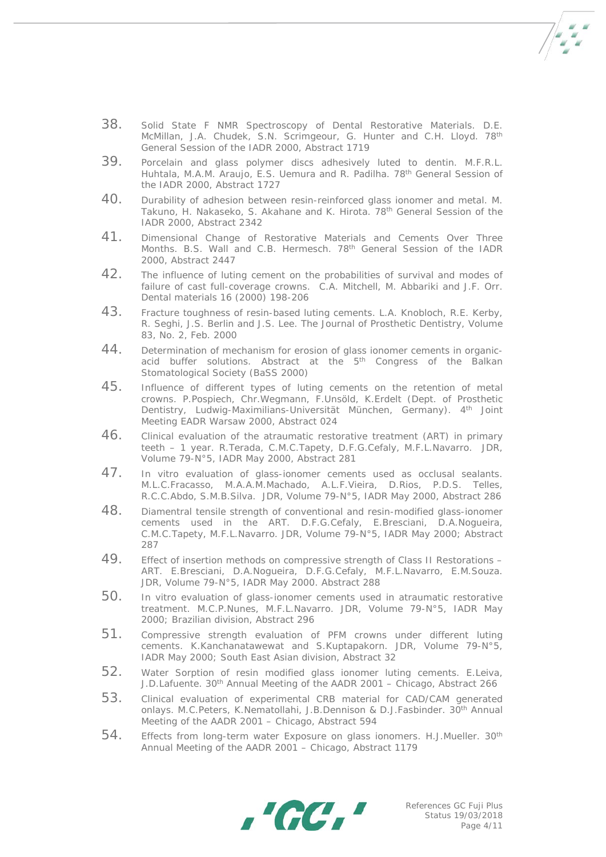- 38. Solid State F NMR Spectroscopy of Dental Restorative Materials. D.E. McMillan, J.A. Chudek, S.N. Scrimgeour, G. Hunter and C.H. Lloyd. 78<sup>th</sup> General Session of the IADR 2000, Abstract 1719
- 39. Porcelain and glass polymer discs adhesively luted to dentin. M.F.R.L. Huhtala, M.A.M. Araujo, E.S. Uemura and R. Padilha. 78th General Session of the IADR 2000, Abstract 1727
- 40. Durability of adhesion between resin-reinforced glass ionomer and metal. M. Takuno, H. Nakaseko, S. Akahane and K. Hirota. 78th General Session of the IADR 2000, Abstract 2342
- 41. Dimensional Change of Restorative Materials and Cements Over Three Months. B.S. Wall and C.B. Hermesch. 78<sup>th</sup> General Session of the IADR 2000, Abstract 2447
- 42. The influence of luting cement on the probabilities of survival and modes of failure of cast full-coverage crowns. C.A. Mitchell, M. Abbariki and J.F. Orr. Dental materials 16 (2000) 198-206
- 43. Fracture toughness of resin-based luting cements. L.A. Knobloch, R.E. Kerby, R. Seghi, J.S. Berlin and J.S. Lee. The Journal of Prosthetic Dentistry, Volume 83, No. 2, Feb. 2000
- 44. Determination of mechanism for erosion of glass ionomer cements in organicacid buffer solutions. Abstract at the 5<sup>th</sup> Congress of the Balkan Stomatological Society (BaSS 2000)
- 45. Influence of different types of luting cements on the retention of metal crowns. P.Pospiech, Chr.Wegmann, F.Unsöld, K.Erdelt (Dept. of Prosthetic Dentistry, Ludwig-Maximilians-Universität München, Germany). 4th Joint Meeting EADR Warsaw 2000, Abstract 024
- 46. Clinical evaluation of the atraumatic restorative treatment (ART) in primary teeth – 1 year. R.Terada, C.M.C.Tapety, D.F.G.Cefaly, M.F.L.Navarro. JDR, Volume 79-N°5, IADR May 2000, Abstract 281
- 47. In vitro evaluation of glass-ionomer cements used as occlusal sealants. M.L.C.Fracasso, M.A.A.M.Machado, A.L.F.Vieira, D.Rios, P.D.S. Telles, R.C.C.Abdo, S.M.B.Silva. JDR, Volume 79-N°5, IADR May 2000, Abstract 286
- 48. Diamentral tensile strength of conventional and resin-modified glass-ionomer cements used in the ART. D.F.G.Cefaly, E.Bresciani, D.A.Nogueira, C.M.C.Tapety, M.F.L.Navarro. JDR, Volume 79-N°5, IADR May 2000; Abstract 287
- 49. Effect of insertion methods on compressive strength of Class II Restorations ART. E.Bresciani, D.A.Nogueira, D.F.G.Cefaly, M.F.L.Navarro, E.M.Souza. JDR, Volume 79-N°5, IADR May 2000. Abstract 288
- 50. In vitro evaluation of glass-ionomer cements used in atraumatic restorative treatment. M.C.P.Nunes, M.F.L.Navarro. JDR, Volume 79-N°5, IADR May 2000; Brazilian division, Abstract 296
- 51. Compressive strength evaluation of PFM crowns under different luting cements. K.Kanchanatawewat and S.Kuptapakorn. JDR, Volume 79-N°5, IADR May 2000; South East Asian division, Abstract 32
- 52. Water Sorption of resin modified glass ionomer luting cements. E.Leiva, J.D.Lafuente. 30th Annual Meeting of the AADR 2001 – Chicago, Abstract 266
- 53. Clinical evaluation of experimental CRB material for CAD/CAM generated onlays. M.C.Peters, K.Nematollahi, J.B.Dennison & D.J.Fasbinder. 30th Annual Meeting of the AADR 2001 – Chicago, Abstract 594
- 54. Effects from long-term water Exposure on glass ionomers. H.J.Mueller. 30<sup>th</sup> Annual Meeting of the AADR 2001 – Chicago, Abstract 1179



 $7 - 7$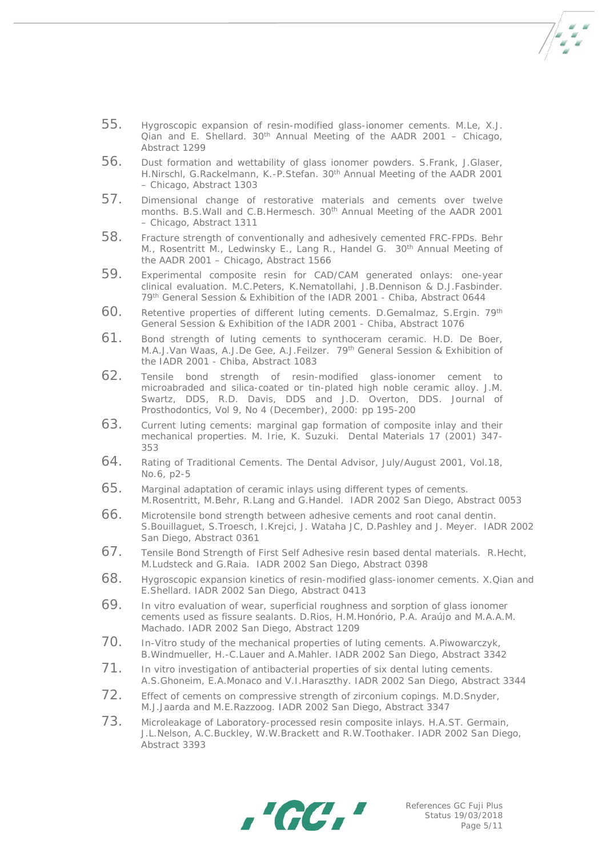- 55. Hygroscopic expansion of resin-modified glass-ionomer cements. M.Le, X.J.  $\overrightarrow{Q}$  and E. Shellard. 30<sup>th</sup> Annual Meeting of the AADR 2001 – Chicago, Abstract 1299
- 56. Dust formation and wettability of glass ionomer powders. S.Frank, J.Glaser, H.Nirschl, G.Rackelmann, K.-P.Stefan. 30th Annual Meeting of the AADR 2001 – Chicago, Abstract 1303
- 57. Dimensional change of restorative materials and cements over twelve months. B.S. Wall and C.B. Hermesch. 30<sup>th</sup> Annual Meeting of the AADR 2001 – Chicago, Abstract 1311
- 58. Fracture strength of conventionally and adhesively cemented FRC-FPDs. Behr M., Rosentritt M., Ledwinsky E., Lang R., Handel G. 30<sup>th</sup> Annual Meeting of the AADR 2001 – Chicago, Abstract 1566
- 59. Experimental composite resin for CAD/CAM generated onlays: one-year clinical evaluation. M.C.Peters, K.Nematollahi, J.B.Dennison & D.J.Fasbinder. 79th General Session & Exhibition of the IADR 2001 - Chiba, Abstract 0644
- 60. Retentive properties of different luting cements. D.Gemalmaz, S.Ergin. 79th General Session & Exhibition of the IADR 2001 - Chiba, Abstract 1076
- 61. Bond strength of luting cements to synthoceram ceramic. H.D. De Boer, M.A.J.Van Waas, A.J.De Gee, A.J.Feilzer. 79th General Session & Exhibition of the IADR 2001 - Chiba, Abstract 1083
- 62. Tensile bond strength of resin-modified glass-ionomer cement to microabraded and silica-coated or tin-plated high noble ceramic alloy. J.M. Swartz, DDS, R.D. Davis, DDS and J.D. Overton, DDS. Journal of Prosthodontics, Vol 9, No 4 (December), 2000: pp 195-200
- 63. Current luting cements: marginal gap formation of composite inlay and their mechanical properties. M. Irie, K. Suzuki. Dental Materials 17 (2001) 347- 353
- 64. Rating of Traditional Cements. The Dental Advisor, July/August 2001, Vol.18, No.6, p2-5
- 65. Marginal adaptation of ceramic inlays using different types of cements. M.Rosentritt, M.Behr, R.Lang and G.Handel. IADR 2002 San Diego, Abstract 0053
- 66. Microtensile bond strength between adhesive cements and root canal dentin. S.Bouillaguet, S.Troesch, I.Krejci, J. Wataha JC, D.Pashley and J. Meyer. IADR 2002 San Diego, Abstract 0361
- 67. Tensile Bond Strength of First Self Adhesive resin based dental materials. R.Hecht, M.Ludsteck and G.Raia. IADR 2002 San Diego, Abstract 0398
- 68. Hygroscopic expansion kinetics of resin-modified glass-ionomer cements. X.Qian and E.Shellard. IADR 2002 San Diego, Abstract 0413
- 69. In vitro evaluation of wear, superficial roughness and sorption of glass ionomer cements used as fissure sealants. D.Rios, H.M.Honório, P.A. Araújo and M.A.A.M. Machado. IADR 2002 San Diego, Abstract 1209
- 70. In-Vitro study of the mechanical properties of luting cements. A.Piwowarczyk, B.Windmueller, H.-C.Lauer and A.Mahler. IADR 2002 San Diego, Abstract 3342
- 71. In vitro investigation of antibacterial properties of six dental luting cements. A.S.Ghoneim, E.A.Monaco and V.I.Haraszthy. IADR 2002 San Diego, Abstract 3344
- 72. Effect of cements on compressive strength of zirconium copings. M.D.Snyder, M.J.Jaarda and M.E.Razzoog. IADR 2002 San Diego, Abstract 3347
- 73. Microleakage of Laboratory-processed resin composite inlays. H.A.ST. Germain, J.L.Nelson, A.C.Buckley, W.W.Brackett and R.W.Toothaker. IADR 2002 San Diego, Abstract 3393



 $7/2$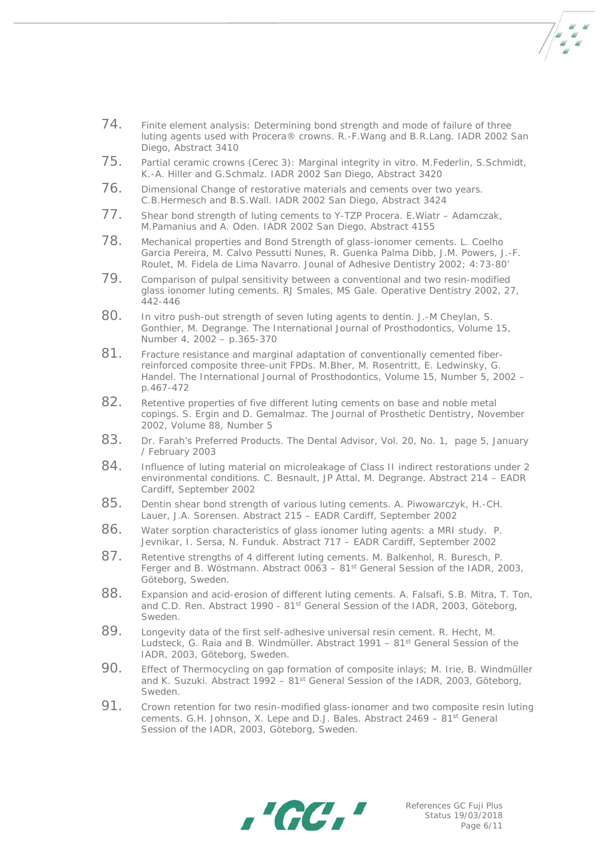

- 74. Finite element analysis: Determining bond strength and mode of failure of three luting agents used with Procera® crowns. R.-F.Wang and B.R.Lang. IADR 2002 San Diego, Abstract 3410
- 75. Partial ceramic crowns (Cerec 3): Marginal integrity in vitro. M.Federlin, S.Schmidt, K.-A. Hiller and G.Schmalz. IADR 2002 San Diego, Abstract 3420
- 76. Dimensional Change of restorative materials and cements over two years. C.B.Hermesch and B.S.Wall. IADR 2002 San Diego, Abstract 3424
- 77. Shear bond strength of luting cements to Y-TZP Procera. E.Wiatr Adamczak, M.Pamanius and A. Oden. IADR 2002 San Diego, Abstract 4155
- 78. Mechanical properties and Bond Strength of glass-ionomer cements. L. Coelho Garcia Pereira, M. Calvo Pessutti Nunes, R. Guenka Palma Dibb, J.M. Powers, J.-F. Roulet, M. Fidela de Lima Navarro. Jounal of Adhesive Dentistry 2002; 4:73-80'
- 79. Comparison of pulpal sensitivity between a conventional and two resin-modified glass ionomer luting cements. RJ Smales, MS Gale. Operative Dentistry 2002, 27, 442-446
- 80. In vitro push-out strength of seven luting agents to dentin. J.-M Cheylan, S. Gonthier, M. Degrange. The International Journal of Prosthodontics, Volume 15, Number 4, 2002 – p.365-370
- 81. Fracture resistance and marginal adaptation of conventionally cemented fiberreinforced composite three-unit FPDs. M.Bher, M. Rosentritt, E. Ledwinsky, G. Handel. The International Journal of Prosthodontics, Volume 15, Number 5, 2002 – p.467-472
- 82. Retentive properties of five different luting cements on base and noble metal copings. S. Ergin and D. Gemalmaz. The Journal of Prosthetic Dentistry, November 2002, Volume 88, Number 5
- 83. Dr. Farah's Preferred Products. The Dental Advisor, Vol. 20, No. 1, page 5, January / February 2003
- 84. Influence of luting material on microleakage of Class II indirect restorations under 2 environmental conditions. C. Besnault, JP Attal, M. Degrange. Abstract 214 – EADR Cardiff, September 2002
- 85. Dentin shear bond strength of various luting cements. A. Piwowarczyk, H.-CH. Lauer, J.A. Sorensen. Abstract 215 – EADR Cardiff, September 2002
- 86. Water sorption characteristics of glass ionomer luting agents: a MRI study. P. Jevnikar, I. Sersa, N. Funduk. Abstract 717 – EADR Cardiff, September 2002
- 87. Retentive strengths of 4 different luting cements. M. Balkenhol, R. Buresch, P. Ferger and B. Wöstmann. Abstract  $0063 - 81<sup>st</sup>$  General Session of the IADR, 2003, Göteborg, Sweden.
- 88. Expansion and acid-erosion of different luting cements. A. Falsafi, S.B. Mitra, T. Ton, and C.D. Ren. Abstract 1990 - 81st General Session of the IADR, 2003, Göteborg, Sweden.
- 89. Longevity data of the first self-adhesive universal resin cement. R. Hecht, M. Ludsteck, G. Raia and B. Windmüller. Abstract 1991 – 81st General Session of the IADR, 2003, Göteborg, Sweden.
- 90. Effect of Thermocycling on gap formation of composite inlays; M. Irie, B. Windmüller and K. Suzuki. Abstract 1992 – 81<sup>st</sup> General Session of the IADR, 2003, Göteborg, Sweden.
- 91. Crown retention for two resin-modified glass-ionomer and two composite resin luting cements. G.H. Johnson, X. Lepe and D.J. Bales. Abstract 2469 – 81<sup>st</sup> General Session of the IADR, 2003, Göteborg, Sweden.

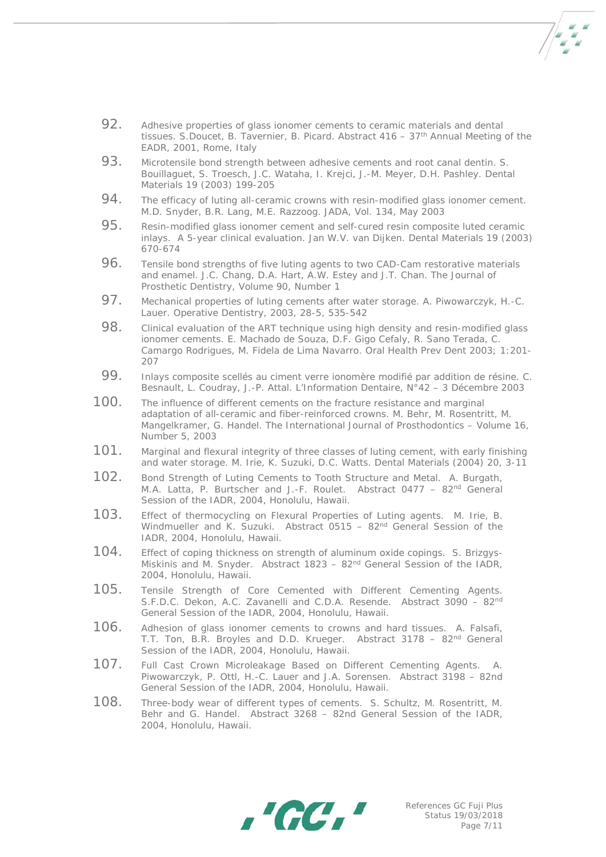

- 92. Adhesive properties of glass ionomer cements to ceramic materials and dental tissues. S. Doucet, B. Tavernier, B. Picard. Abstract  $416 - 37$ <sup>th</sup> Annual Meeting of the EADR, 2001, Rome, Italy
- 93. Microtensile bond strength between adhesive cements and root canal dentin. S. Bouillaguet, S. Troesch, J.C. Wataha, I. Krejci, J.-M. Meyer, D.H. Pashley. Dental Materials 19 (2003) 199-205
- 94. The efficacy of luting all-ceramic crowns with resin-modified glass ionomer cement. M.D. Snyder, B.R. Lang, M.E. Razzoog. JADA, Vol. 134, May 2003
- 95. Resin-modified glass ionomer cement and self-cured resin composite luted ceramic inlays. A 5-year clinical evaluation. Jan W.V. van Dijken. Dental Materials 19 (2003) 670-674
- 96. Tensile bond strengths of five luting agents to two CAD-Cam restorative materials and enamel. J.C. Chang, D.A. Hart, A.W. Estey and J.T. Chan. The Journal of Prosthetic Dentistry, Volume 90, Number 1
- 97. Mechanical properties of luting cements after water storage. A. Piwowarczyk, H.-C. Lauer. Operative Dentistry, 2003, 28-5, 535-542
- 98. Clinical evaluation of the ART technique using high density and resin-modified glass ionomer cements. E. Machado de Souza, D.F. Gigo Cefaly, R. Sano Terada, C. Camargo Rodrigues, M. Fidela de Lima Navarro. Oral Health Prev Dent 2003; 1:201- 207
- 99. Inlays composite scellés au ciment verre ionomère modifié par addition de résine. C. Besnault, L. Coudray, J.-P. Attal. L'Information Dentaire, N°42 – 3 Décembre 2003
- 100. The influence of different cements on the fracture resistance and marginal adaptation of all-ceramic and fiber-reinforced crowns. M. Behr, M. Rosentritt, M. Mangelkramer, G. Handel. The International Journal of Prosthodontics – Volume 16, Number 5, 2003
- 101. Marginal and flexural integrity of three classes of luting cement, with early finishing and water storage. M. Irie, K. Suzuki, D.C. Watts. Dental Materials (2004) 20, 3-11
- 102. Bond Strength of Luting Cements to Tooth Structure and Metal. A. Burgath, M.A. Latta, P. Burtscher and J.-F. Roulet. Abstract 0477 – 82nd General Session of the IADR, 2004, Honolulu, Hawaii.
- 103. Effect of thermocycling on Flexural Properties of Luting agents. M. Irie, B. Windmueller and K. Suzuki. Abstract 0515 - 82<sup>nd</sup> General Session of the IADR, 2004, Honolulu, Hawaii.
- 104. Effect of coping thickness on strength of aluminum oxide copings. S. Brizgys-Miskinis and M. Snyder. Abstract 1823 – 82<sup>nd</sup> General Session of the IADR, 2004, Honolulu, Hawaii.
- 105. Tensile Strength of Core Cemented with Different Cementing Agents. S.F.D.C. Dekon, A.C. Zavanelli and C.D.A. Resende. Abstract 3090 – 82nd General Session of the IADR, 2004, Honolulu, Hawaii.
- 106. Adhesion of glass ionomer cements to crowns and hard tissues. A. Falsafi, T.T. Ton, B.R. Broyles and D.D. Krueger. Abstract 3178 - 82<sup>nd</sup> General Session of the IADR, 2004, Honolulu, Hawaii.
- 107. Full Cast Crown Microleakage Based on Different Cementing Agents. Piwowarczyk, P. Ottl, H.-C. Lauer and J.A. Sorensen. Abstract 3198 – 82nd General Session of the IADR, 2004, Honolulu, Hawaii.
- 108. Three-body wear of different types of cements. S. Schultz, M. Rosentritt, M. Behr and G. Handel. Abstract 3268 – 82nd General Session of the IADR, 2004, Honolulu, Hawaii.

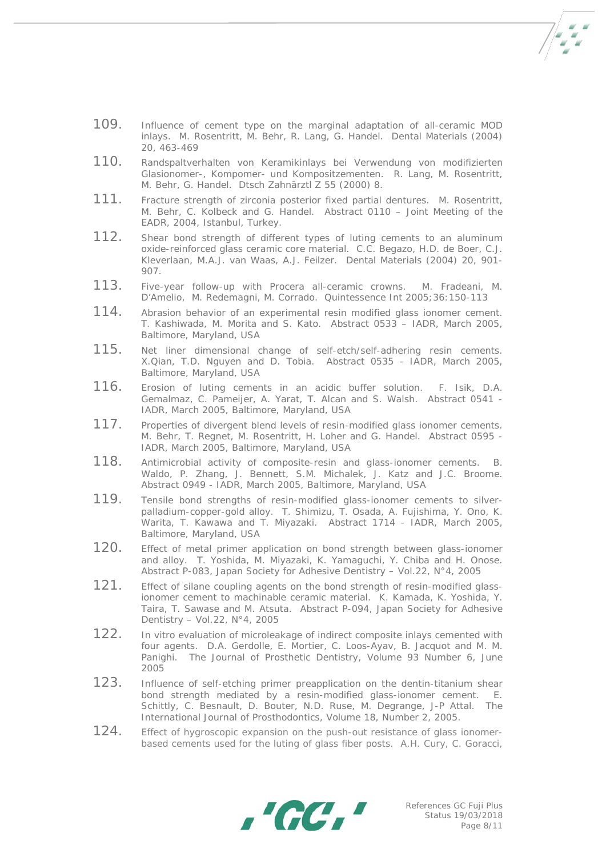- 
- 109. Influence of cement type on the marginal adaptation of all-ceramic MOD inlays. M. Rosentritt, M. Behr, R. Lang, G. Handel. Dental Materials (2004) 20, 463-469
- 110. Randspaltverhalten von Keramikinlays bei Verwendung von modifizierten Glasionomer-, Kompomer- und Kompositzementen. R. Lang, M. Rosentritt, M. Behr, G. Handel. Dtsch Zahnärztl Z 55 (2000) 8.
- 111. Fracture strength of zirconia posterior fixed partial dentures. M. Rosentritt, M. Behr, C. Kolbeck and G. Handel. Abstract 0110 – Joint Meeting of the EADR, 2004, Istanbul, Turkey.
- 112. Shear bond strength of different types of luting cements to an aluminum oxide-reinforced glass ceramic core material. C.C. Begazo, H.D. de Boer, C.J. Kleverlaan, M.A.J. van Waas, A.J. Feilzer. Dental Materials (2004) 20, 901- 907.
- 113. Five-year follow-up with Procera all-ceramic crowns. M. Fradeani, M. D'Amelio, M. Redemagni, M. Corrado. Quintessence Int 2005;36:150-113
- 114. Abrasion behavior of an experimental resin modified glass ionomer cement. T. Kashiwada, M. Morita and S. Kato. Abstract 0533 – IADR, March 2005, Baltimore, Maryland, USA
- 115. Net liner dimensional change of self-etch/self-adhering resin cements. X.Qian, T.D. Nguyen and D. Tobia. Abstract 0535 - IADR, March 2005, Baltimore, Maryland, USA
- 116. Erosion of luting cements in an acidic buffer solution. F. Isik, D.A. Gemalmaz, C. Pameijer, A. Yarat, T. Alcan and S. Walsh. Abstract 0541 - IADR, March 2005, Baltimore, Maryland, USA
- 117. Properties of divergent blend levels of resin-modified glass ionomer cements. M. Behr, T. Regnet, M. Rosentritt, H. Loher and G. Handel. Abstract 0595 - IADR, March 2005, Baltimore, Maryland, USA
- 118. Antimicrobial activity of composite-resin and glass-ionomer cements. B. Waldo, P. Zhang, J. Bennett, S.M. Michalek, J. Katz and J.C. Broome. Abstract 0949 - IADR, March 2005, Baltimore, Maryland, USA
- 119. Tensile bond strengths of resin-modified glass-ionomer cements to silverpalladium-copper-gold alloy. T. Shimizu, T. Osada, A. Fujishima, Y. Ono, K. Warita, T. Kawawa and T. Miyazaki. Abstract 1714 - IADR, March 2005, Baltimore, Maryland, USA
- 120. Effect of metal primer application on bond strength between glass-ionomer and alloy. T. Yoshida, M. Miyazaki, K. Yamaguchi, Y. Chiba and H. Onose. Abstract P-083, Japan Society for Adhesive Dentistry – Vol.22, N°4, 2005
- 121. Effect of silane coupling agents on the bond strength of resin-modified glassionomer cement to machinable ceramic material. K. Kamada, K. Yoshida, Y. Taira, T. Sawase and M. Atsuta. Abstract P-094, Japan Society for Adhesive Dentistry – Vol.22, N°4, 2005
- 122. In vitro evaluation of microleakage of indirect composite inlays cemented with four agents. D.A. Gerdolle, E. Mortier, C. Loos-Ayav, B. Jacquot and M. M. Panighi. The Journal of Prosthetic Dentistry, Volume 93 Number 6, June 2005
- 123. Influence of self-etching primer preapplication on the dentin-titanium shear<br>bond strength mediated by a resin-modified glass-ionomer cement. E. bond strength mediated by a resin-modified glass-ionomer cement. Schittly, C. Besnault, D. Bouter, N.D. Ruse, M. Degrange, J-P Attal. The International Journal of Prosthodontics, Volume 18, Number 2, 2005.
- 124. Effect of hygroscopic expansion on the push-out resistance of glass ionomerbased cements used for the luting of glass fiber posts. A.H. Cury, C. Goracci,

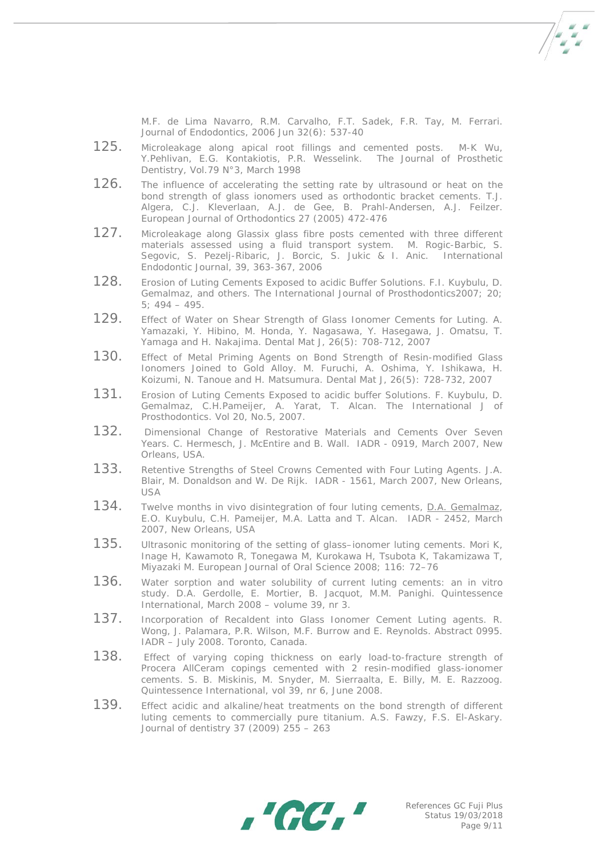M.F. de Lima Navarro, R.M. Carvalho, F.T. Sadek, F.R. Tay, M. Ferrari. Journal of Endodontics, 2006 Jun 32(6): 537-40

 $7 - 1$ 

- 125. Microleakage along apical root fillings and cemented posts. M-K Wu, Y.Pehlivan, E.G. Kontakiotis, P.R. Wesselink. The Journal of Prosthetic Dentistry, Vol.79 N°3, March 1998
- 126. The influence of accelerating the setting rate by ultrasound or heat on the bond strength of glass ionomers used as orthodontic bracket cements. T.J. Algera, C.J. Kleverlaan, A.J. de Gee, B. Prahl-Andersen, A.J. Feilzer. European Journal of Orthodontics 27 (2005) 472-476
- 127. Microleakage along Glassix glass fibre posts cemented with three different materials assessed using a fluid transport system. M. Rogic-Barbic, S. Segovic, S. Pezelj-Ribaric, J. Borcic, S. Jukic & I. Anic. International Endodontic Journal, 39, 363-367, 2006
- 128. Erosion of Luting Cements Exposed to acidic Buffer Solutions. F.I. Kuybulu, D. Gemalmaz, and others. The International Journal of Prosthodontics2007; 20;  $5: 494 - 495.$
- 129. Effect of Water on Shear Strength of Glass Ionomer Cements for Luting. A. Yamazaki, Y. Hibino, M. Honda, Y. Nagasawa, Y. Hasegawa, J. Omatsu, T. Yamaga and H. Nakajima. Dental Mat J, 26(5): 708-712, 2007
- 130. Effect of Metal Priming Agents on Bond Strength of Resin-modified Glass Ionomers Joined to Gold Alloy. M. Furuchi, A. Oshima, Y. Ishikawa, H. Koizumi, N. Tanoue and H. Matsumura. Dental Mat J, 26(5): 728-732, 2007
- 131. Erosion of Luting Cements Exposed to acidic buffer Solutions. F. Kuybulu, D. Gemalmaz, C.H.Pameijer, A. Yarat, T. Alcan. The International J of Prosthodontics. Vol 20, No.5, 2007.
- 132. Dimensional Change of Restorative Materials and Cements Over Seven Years. C. Hermesch, J. McEntire and B. Wall. IADR - 0919, March 2007, New Orleans, USA.
- 133. Retentive Strengths of Steel Crowns Cemented with Four Luting Agents. J.A. Blair, M. Donaldson and W. De Rijk. IADR - 1561, March 2007, New Orleans, USA
- 134. Twelve months in vivo disintegration of four luting cements, [D.A. Gemalmaz,](mailto:dikici@usa.net) E.O. Kuybulu, C.H. Pameijer, M.A. Latta and T. Alcan. IADR - 2452, March 2007, New Orleans, USA
- 135. Ultrasonic monitoring of the setting of glass–ionomer luting cements. Mori K, Inage H, Kawamoto R, Tonegawa M, Kurokawa H, Tsubota K, Takamizawa T, Miyazaki M. European Journal of Oral Science 2008; 116: 72–76
- 136. Water sorption and water solubility of current luting cements: an in vitro study. D.A. Gerdolle, E. Mortier, B. Jacquot, M.M. Panighi. Quintessence International, March 2008 – volume 39, nr 3.
- 137. Incorporation of Recaldent into Glass Ionomer Cement Luting agents. R. Wong, J. Palamara, P.R. Wilson, M.F. Burrow and E. Reynolds. Abstract 0995. IADR – July 2008. Toronto, Canada.
- 138. Effect of varying coping thickness on early load-to-fracture strength of Procera AllCeram copings cemented with 2 resin-modified glass-ionomer cements. S. B. Miskinis, M. Snyder, M. Sierraalta, E. Billy, M. E. Razzoog. Quintessence International, vol 39, nr 6, June 2008.
- 139. Effect acidic and alkaline/heat treatments on the bond strength of different luting cements to commercially pure titanium. A.S. Fawzy, F.S. El-Askary. Journal of dentistry 37 (2009) 255 – 263

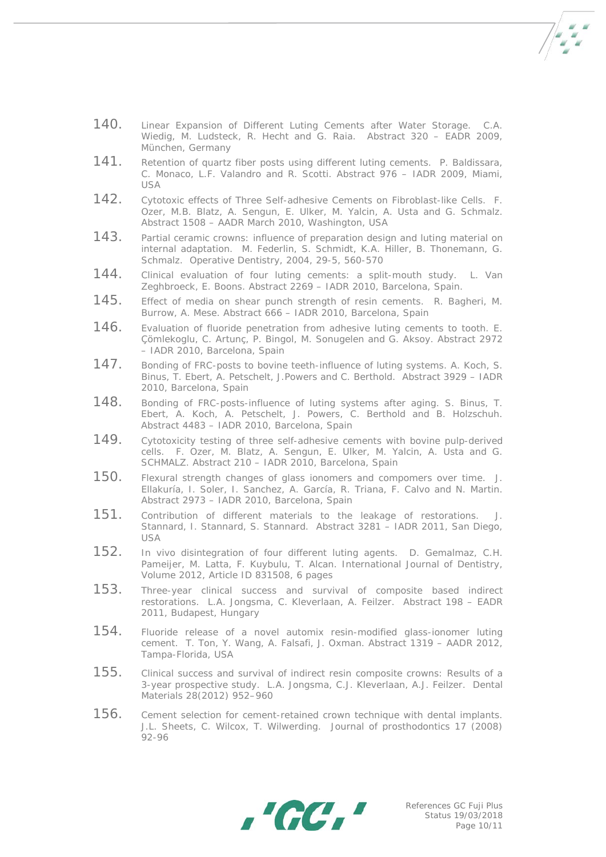- 140. Linear Expansion of Different Luting Cements after Water Storage. C.A. Wiedig, M. Ludsteck, R. Hecht and G. Raia. Abstract 320 – EADR 2009, München, Germany
- 141. Retention of quartz fiber posts using different luting cements. P. Baldissara, C. Monaco, L.F. Valandro and R. Scotti. Abstract 976 – IADR 2009, Miami, USA
- 142. Cytotoxic effects of Three Self-adhesive Cements on Fibroblast-like Cells. F. Ozer, M.B. Blatz, A. Sengun, E. Ulker, M. Yalcin, A. Usta and G. Schmalz. Abstract 1508 – AADR March 2010, Washington, USA
- 143. Partial ceramic crowns: influence of preparation design and luting material on internal adaptation. M. Federlin, S. Schmidt, K.A. Hiller, B. Thonemann, G. Schmalz. Operative Dentistry, 2004, 29-5, 560-570
- 144. Clinical evaluation of four luting cements: a split-mouth study. L. Van Zeghbroeck, E. Boons. Abstract 2269 – IADR 2010, Barcelona, Spain.
- 145. Effect of media on shear punch strength of resin cements. R. Bagheri, M. Burrow, A. Mese. Abstract 666 – IADR 2010, Barcelona, Spain
- 146. Evaluation of fluoride penetration from adhesive luting cements to tooth. E. Çömlekoglu, C. Artunç, P. Bingol, M. Sonugelen and G. Aksoy. Abstract 2972 – IADR 2010, Barcelona, Spain
- 147. Bonding of FRC-posts to bovine teeth-influence of luting systems. A. Koch, S. Binus, T. Ebert, A. Petschelt, J.Powers and C. Berthold. Abstract 3929 – IADR 2010, Barcelona, Spain
- 148. Bonding of FRC-posts-influence of luting systems after aging. S. Binus, T. Ebert, A. Koch, A. Petschelt, J. Powers, C. Berthold and B. Holzschuh. Abstract 4483 – IADR 2010, Barcelona, Spain
- 149. Cytotoxicity testing of three self-adhesive cements with bovine pulp-derived cells. F. Ozer, M. Blatz, A. Sengun, E. Ulker, M. Yalcin, A. Usta and G. SCHMALZ. Abstract 210 – IADR 2010, Barcelona, Spain
- 150. Flexural strength changes of glass ionomers and compomers over time. J. Ellakuría, I. Soler, I. Sanchez, A. García, R. Triana, F. Calvo and N. Martin. Abstract 2973 – IADR 2010, Barcelona, Spain
- 151. Contribution of different materials to the leakage of restorations. [J.](mailto:jz.stannard@gmail.com)  [Stannard,](mailto:jz.stannard@gmail.com) I. Stannard, S. Stannard. Abstract 3281 – IADR 2011, San Diego, USA
- 152. In vivo disintegration of four different luting agents. D. Gemalmaz, C.H. Pameijer, M. Latta, F. Kuybulu, T. Alcan. International Journal of Dentistry, Volume 2012, Article ID 831508, 6 pages
- 153. Three-year clinical success and survival of composite based indirect restorations. L.A. Jongsma, C. Kleverlaan, A. Feilzer. Abstract 198 – EADR 2011, Budapest, Hungary
- 154. Fluoride release of a novel automix resin-modified glass-ionomer luting cement. T. [Ton,](mailto:tton1@mmm.com) Y. Wang, A. Falsafi, J. Oxman. Abstract 1319 – AADR 2012, Tampa-Florida, USA
- 155. Clinical success and survival of indirect resin composite crowns: Results of a 3-year prospective study. L.A. Jongsma, C.J. Kleverlaan, A.J. Feilzer. Dental Materials 28(2012) 952–960
- 156. Cement selection for cement-retained crown technique with dental implants. J.L. Sheets, C. Wilcox, T. Wilwerding. Journal of prosthodontics 17 (2008) 92-96